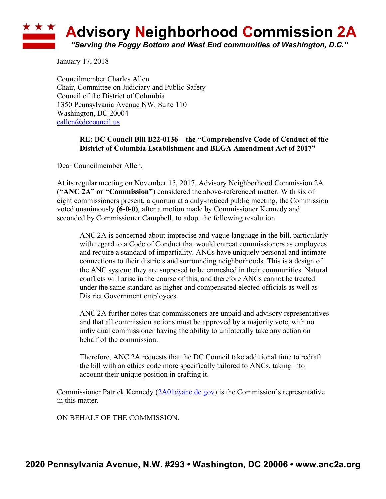## **Advisory Neighborhood Commission 2A** *"Serving the Foggy Bottom and West End communities of Washington, D.C."*

January 17, 2018

Councilmember Charles Allen Chair, Committee on Judiciary and Public Safety Council of the District of Columbia 1350 Pennsylvania Avenue NW, Suite 110 Washington, DC 20004 callen@dccouncil.us

## **RE: DC Council Bill B22-0136 – the "Comprehensive Code of Conduct of the District of Columbia Establishment and BEGA Amendment Act of 2017"**

Dear Councilmember Allen,

At its regular meeting on November 15, 2017, Advisory Neighborhood Commission 2A (**"ANC 2A" or "Commission"**) considered the above-referenced matter. With six of eight commissioners present, a quorum at a duly-noticed public meeting, the Commission voted unanimously **(6-0-0)**, after a motion made by Commissioner Kennedy and seconded by Commissioner Campbell, to adopt the following resolution:

ANC 2A is concerned about imprecise and vague language in the bill, particularly with regard to a Code of Conduct that would entreat commissioners as employees and require a standard of impartiality. ANCs have uniquely personal and intimate connections to their districts and surrounding neighborhoods. This is a design of the ANC system; they are supposed to be enmeshed in their communities. Natural conflicts will arise in the course of this, and therefore ANCs cannot be treated under the same standard as higher and compensated elected officials as well as District Government employees.

ANC 2A further notes that commissioners are unpaid and advisory representatives and that all commission actions must be approved by a majority vote, with no individual commissioner having the ability to unilaterally take any action on behalf of the commission.

Therefore, ANC 2A requests that the DC Council take additional time to redraft the bill with an ethics code more specifically tailored to ANCs, taking into account their unique position in crafting it.

Commissioner Patrick Kennedy  $(2A01@anc.de.gov)$  is the Commission's representative in this matter.

ON BEHALF OF THE COMMISSION.